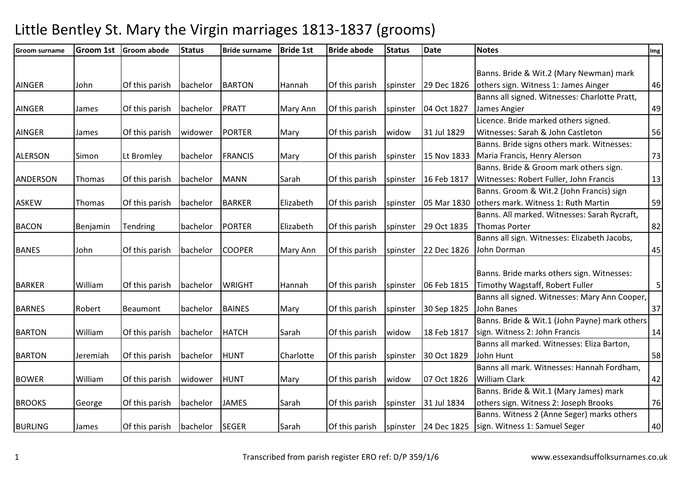| <b>Groom surname</b> | <b>Groom 1st</b> | <b>Groom abode</b> | <b>Status</b> | <b>Bride surname</b> | <b>Bride 1st</b> | <b>Bride abode</b> | <b>Status</b> | <b>Date</b>          | <b>Notes</b>                                  | Img |
|----------------------|------------------|--------------------|---------------|----------------------|------------------|--------------------|---------------|----------------------|-----------------------------------------------|-----|
|                      |                  |                    |               |                      |                  |                    |               |                      |                                               |     |
|                      |                  |                    |               |                      |                  |                    |               |                      | Banns. Bride & Wit.2 (Mary Newman) mark       |     |
| <b>AINGER</b>        | John             | Of this parish     | bachelor      | <b>BARTON</b>        | Hannah           | Of this parish     | spinster      | 29 Dec 1826          | others sign. Witness 1: James Ainger          | 46  |
|                      |                  |                    |               |                      |                  |                    |               |                      | Banns all signed. Witnesses: Charlotte Pratt, |     |
| <b>AINGER</b>        | James            | Of this parish     | bachelor      | <b>PRATT</b>         | Mary Ann         | Of this parish     | spinster      | 04 Oct 1827          | James Angier                                  | 49  |
|                      |                  |                    |               |                      |                  |                    |               |                      | Licence. Bride marked others signed.          |     |
| <b>AINGER</b>        | James            | Of this parish     | widower       | <b>PORTER</b>        | Mary             | Of this parish     | widow         | 31 Jul 1829          | Witnesses: Sarah & John Castleton             | 56  |
|                      |                  |                    |               |                      |                  |                    |               |                      | Banns. Bride signs others mark. Witnesses:    |     |
| <b>ALERSON</b>       | Simon            | Lt Bromley         | bachelor      | <b>FRANCIS</b>       | Mary             | Of this parish     | spinster      | 15 Nov 1833          | Maria Francis, Henry Alerson                  | 73  |
|                      |                  |                    |               |                      |                  |                    |               |                      | Banns. Bride & Groom mark others sign.        |     |
| <b>ANDERSON</b>      | Thomas           | Of this parish     | bachelor      | <b>MANN</b>          | Sarah            | Of this parish     | spinster      | 16 Feb 1817          | Witnesses: Robert Fuller, John Francis        | 13  |
|                      |                  |                    |               |                      |                  |                    |               |                      | Banns. Groom & Wit.2 (John Francis) sign      |     |
| <b>ASKEW</b>         | Thomas           | Of this parish     | bachelor      | <b>BARKER</b>        | Elizabeth        | Of this parish     | spinster      | 05 Mar 1830          | others mark. Witness 1: Ruth Martin           | 59  |
|                      |                  |                    |               |                      |                  |                    |               |                      | Banns. All marked. Witnesses: Sarah Rycraft,  |     |
| <b>BACON</b>         | Benjamin         | Tendring           | bachelor      | <b>PORTER</b>        | Elizabeth        | Of this parish     | spinster      | 29 Oct 1835          | <b>Thomas Porter</b>                          | 82  |
|                      |                  |                    |               |                      |                  |                    |               |                      | Banns all sign. Witnesses: Elizabeth Jacobs,  |     |
| <b>BANES</b>         | John             | Of this parish     | bachelor      | <b>COOPER</b>        | Mary Ann         | Of this parish     | spinster      | 22 Dec 1826          | John Dorman                                   | 45  |
|                      |                  |                    |               |                      |                  |                    |               |                      |                                               |     |
|                      |                  |                    |               |                      |                  |                    |               |                      | Banns. Bride marks others sign. Witnesses:    |     |
| <b>BARKER</b>        | William          | Of this parish     | bachelor      | <b>WRIGHT</b>        | Hannah           | Of this parish     | spinster      | 06 Feb 1815          | Timothy Wagstaff, Robert Fuller               | 5   |
|                      |                  |                    |               |                      |                  |                    |               |                      | Banns all signed. Witnesses: Mary Ann Cooper, |     |
| <b>BARNES</b>        | Robert           | Beaumont           | bachelor      | <b>BAINES</b>        | Mary             | Of this parish     | spinster      | 30 Sep 1825          | John Banes                                    | 37  |
|                      |                  |                    |               |                      |                  |                    |               |                      | Banns. Bride & Wit.1 (John Payne) mark others |     |
| <b>BARTON</b>        | William          | Of this parish     | bachelor      | <b>HATCH</b>         | Sarah            | Of this parish     | widow         | 18 Feb 1817          | sign. Witness 2: John Francis                 | 14  |
|                      |                  |                    |               |                      |                  |                    |               |                      | Banns all marked. Witnesses: Eliza Barton,    |     |
| <b>BARTON</b>        | Jeremiah         | Of this parish     | bachelor      | <b>HUNT</b>          | Charlotte        | Of this parish     | spinster      | 30 Oct 1829          | John Hunt                                     | 58  |
|                      |                  |                    |               |                      |                  |                    |               |                      | Banns all mark. Witnesses: Hannah Fordham,    |     |
| <b>BOWER</b>         | William          | Of this parish     | widower       | <b>HUNT</b>          | Mary             | Of this parish     | widow         | 07 Oct 1826          | William Clark                                 | 42  |
|                      |                  |                    |               |                      |                  |                    |               |                      | Banns. Bride & Wit.1 (Mary James) mark        |     |
| <b>BROOKS</b>        | George           | Of this parish     | bachelor      | <b>JAMES</b>         | Sarah            | Of this parish     | spinster      | 31 Jul 1834          | others sign. Witness 2: Joseph Brooks         | 76  |
|                      |                  |                    |               |                      |                  |                    |               |                      | Banns. Witness 2 (Anne Seger) marks others    |     |
| <b>BURLING</b>       | James            | Of this parish     | bachelor      | SEGER                | Sarah            | Of this parish     |               | spinster 24 Dec 1825 | sign. Witness 1: Samuel Seger                 | 40  |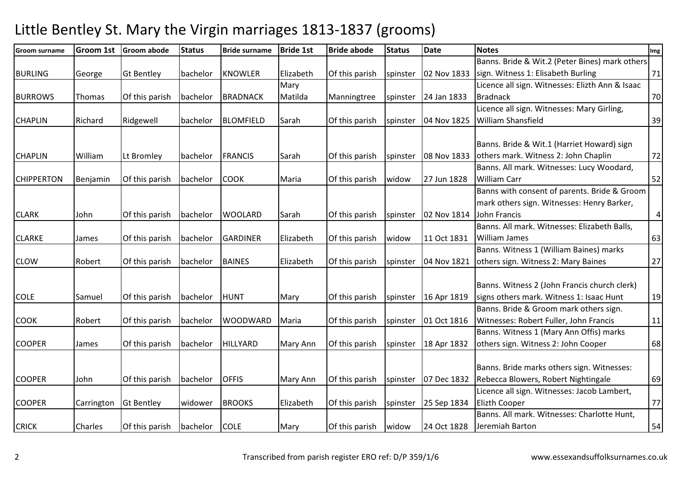| <b>Groom surname</b> | Groom 1st  | <b>Groom abode</b> | <b>Status</b> | <b>Bride surname</b> | <b>Bride 1st</b> | <b>Bride abode</b> | <b>Status</b> | <b>Date</b> | <b>Notes</b>                                    | Img            |
|----------------------|------------|--------------------|---------------|----------------------|------------------|--------------------|---------------|-------------|-------------------------------------------------|----------------|
|                      |            |                    |               |                      |                  |                    |               |             | Banns. Bride & Wit.2 (Peter Bines) mark others  |                |
| <b>BURLING</b>       | George     | <b>Gt Bentley</b>  | bachelor      | <b>KNOWLER</b>       | Elizabeth        | Of this parish     | spinster      | 02 Nov 1833 | sign. Witness 1: Elisabeth Burling              | 71             |
|                      |            |                    |               |                      | Mary             |                    |               |             | Licence all sign. Witnesses: Elizth Ann & Isaac |                |
| <b>BURROWS</b>       | Thomas     | Of this parish     | bachelor      | <b>BRADNACK</b>      | Matilda          | Manningtree        | spinster      | 24 Jan 1833 | <b>Bradnack</b>                                 | 70             |
|                      |            |                    |               |                      |                  |                    |               |             | Licence all sign. Witnesses: Mary Girling,      |                |
| <b>CHAPLIN</b>       | Richard    | Ridgewell          | bachelor      | <b>BLOMFIELD</b>     | Sarah            | Of this parish     | spinster      | 04 Nov 1825 | <b>William Shansfield</b>                       | 39             |
|                      |            |                    |               |                      |                  |                    |               |             |                                                 |                |
|                      |            |                    |               |                      |                  |                    |               |             | Banns. Bride & Wit.1 (Harriet Howard) sign      |                |
| <b>CHAPLIN</b>       | William    | Lt Bromley         | bachelor      | <b>FRANCIS</b>       | Sarah            | Of this parish     | spinster      | 08 Nov 1833 | others mark. Witness 2: John Chaplin            | 72             |
|                      |            |                    |               |                      |                  |                    |               |             | Banns. All mark. Witnesses: Lucy Woodard,       |                |
| <b>CHIPPERTON</b>    | Benjamin   | Of this parish     | bachelor      | <b>COOK</b>          | Maria            | Of this parish     | widow         | 27 Jun 1828 | <b>William Carr</b>                             | 52             |
|                      |            |                    |               |                      |                  |                    |               |             | Banns with consent of parents. Bride & Groom    |                |
|                      |            |                    |               |                      |                  |                    |               |             | mark others sign. Witnesses: Henry Barker,      |                |
| <b>CLARK</b>         | John       | Of this parish     | bachelor      | <b>WOOLARD</b>       | Sarah            | Of this parish     | spinster      | 02 Nov 1814 | John Francis                                    | $\overline{a}$ |
|                      |            |                    |               |                      |                  |                    |               |             | Banns. All mark. Witnesses: Elizabeth Balls,    |                |
| <b>CLARKE</b>        | James      | Of this parish     | bachelor      | <b>GARDINER</b>      | Elizabeth        | Of this parish     | widow         | 11 Oct 1831 | William James                                   | 63             |
|                      |            |                    |               |                      |                  |                    |               |             | Banns. Witness 1 (William Baines) marks         |                |
| <b>CLOW</b>          | Robert     | Of this parish     | bachelor      | <b>BAINES</b>        | Elizabeth        | Of this parish     | spinster      | 04 Nov 1821 | others sign. Witness 2: Mary Baines             | 27             |
|                      |            |                    |               |                      |                  |                    |               |             |                                                 |                |
|                      |            |                    |               |                      |                  |                    |               |             | Banns. Witness 2 (John Francis church clerk)    |                |
| <b>COLE</b>          | Samuel     | Of this parish     | bachelor      | <b>HUNT</b>          | Mary             | Of this parish     | spinster      | 16 Apr 1819 | signs others mark. Witness 1: Isaac Hunt        | 19             |
|                      |            |                    |               |                      |                  |                    |               |             | Banns. Bride & Groom mark others sign.          |                |
| <b>COOK</b>          | Robert     | Of this parish     | bachelor      | <b>WOODWARD</b>      | Maria            | Of this parish     | spinster      | 01 Oct 1816 | Witnesses: Robert Fuller, John Francis          | 11             |
|                      |            |                    |               |                      |                  |                    |               |             | Banns. Witness 1 (Mary Ann Offis) marks         |                |
| <b>COOPER</b>        | James      | Of this parish     | bachelor      | <b>HILLYARD</b>      | Mary Ann         | Of this parish     | spinster      | 18 Apr 1832 | others sign. Witness 2: John Cooper             | 68             |
|                      |            |                    |               |                      |                  |                    |               |             |                                                 |                |
|                      |            |                    |               |                      |                  |                    |               |             | Banns. Bride marks others sign. Witnesses:      |                |
| <b>COOPER</b>        | John       | Of this parish     | bachelor      | <b>OFFIS</b>         | Mary Ann         | Of this parish     | spinster      | 07 Dec 1832 | Rebecca Blowers, Robert Nightingale             | 69             |
|                      |            |                    |               |                      |                  |                    |               |             | Licence all sign. Witnesses: Jacob Lambert,     |                |
| <b>COOPER</b>        | Carrington | <b>Gt Bentley</b>  | widower       | <b>BROOKS</b>        | Elizabeth        | Of this parish     | spinster      | 25 Sep 1834 | <b>Elizth Cooper</b>                            | 77             |
|                      |            |                    |               |                      |                  |                    |               |             | Banns. All mark. Witnesses: Charlotte Hunt,     |                |
| <b>CRICK</b>         | Charles    | Of this parish     | bachelor      | <b>COLE</b>          | Mary             | Of this parish     | widow         | 24 Oct 1828 | Jeremiah Barton                                 | 54             |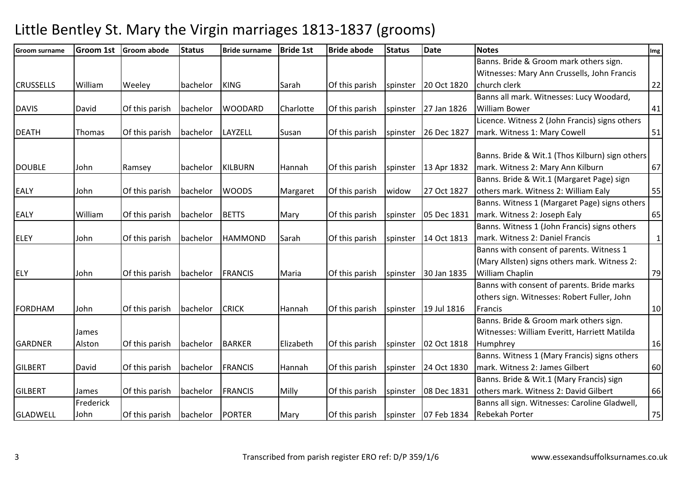| <b>Groom surname</b> | <b>Groom 1st</b> | <b>Groom abode</b> | <b>Status</b> | <b>Bride surname</b> | <b>Bride 1st</b> | <b>Bride abode</b> | <b>Status</b> | <b>Date</b>            | <b>Notes</b>                                    | Img          |
|----------------------|------------------|--------------------|---------------|----------------------|------------------|--------------------|---------------|------------------------|-------------------------------------------------|--------------|
|                      |                  |                    |               |                      |                  |                    |               |                        | Banns. Bride & Groom mark others sign.          |              |
|                      |                  |                    |               |                      |                  |                    |               |                        | Witnesses: Mary Ann Crussells, John Francis     |              |
| <b>CRUSSELLS</b>     | William          | Weeley             | bachelor      | <b>KING</b>          | Sarah            | Of this parish     | spinster      | 20 Oct 1820            | church clerk                                    | 22           |
|                      |                  |                    |               |                      |                  |                    |               |                        | Banns all mark. Witnesses: Lucy Woodard,        |              |
| <b>DAVIS</b>         | David            | Of this parish     | bachelor      | <b>WOODARD</b>       | Charlotte        | Of this parish     | spinster      | 27 Jan 1826            | <b>William Bower</b>                            | 41           |
|                      |                  |                    |               |                      |                  |                    |               |                        | Licence. Witness 2 (John Francis) signs others  |              |
| <b>DEATH</b>         | Thomas           | Of this parish     | bachelor      | LAYZELL              | Susan            | Of this parish     | spinster      | 26 Dec 1827            | mark. Witness 1: Mary Cowell                    | 51           |
|                      |                  |                    |               |                      |                  |                    |               |                        |                                                 |              |
|                      |                  |                    |               |                      |                  |                    |               |                        | Banns. Bride & Wit.1 (Thos Kilburn) sign others |              |
| <b>DOUBLE</b>        | John             | Ramsey             | bachelor      | <b>KILBURN</b>       | l Hannah         | Of this parish     | spinster      | 13 Apr 1832            | mark. Witness 2: Mary Ann Kilburn               | 67           |
|                      |                  |                    |               |                      |                  |                    |               |                        | Banns. Bride & Wit.1 (Margaret Page) sign       |              |
| <b>EALY</b>          | John             | Of this parish     | bachelor      | <b>WOODS</b>         | Margaret         | Of this parish     | widow         | 27 Oct 1827            | others mark. Witness 2: William Ealy            | 55           |
|                      |                  |                    |               |                      |                  |                    |               |                        | Banns. Witness 1 (Margaret Page) signs others   |              |
| <b>EALY</b>          | William          | Of this parish     | bachelor      | <b>BETTS</b>         | Mary             | Of this parish     | spinster      | 05 Dec 1831            | mark. Witness 2: Joseph Ealy                    | 65           |
|                      |                  |                    |               |                      |                  |                    |               |                        | Banns. Witness 1 (John Francis) signs others    |              |
| <b>ELEY</b>          | John             | Of this parish     | bachelor      | <b>HAMMOND</b>       | Sarah            | Of this parish     | spinster      | 14 Oct 1813            | mark. Witness 2: Daniel Francis                 | $\mathbf{1}$ |
|                      |                  |                    |               |                      |                  |                    |               |                        | Banns with consent of parents. Witness 1        |              |
|                      |                  |                    |               |                      |                  |                    |               |                        | (Mary Allsten) signs others mark. Witness 2:    |              |
| <b>ELY</b>           | John             | Of this parish     | bachelor      | <b>FRANCIS</b>       | Maria            | Of this parish     | spinster      | 30 Jan 1835            | William Chaplin                                 | 79           |
|                      |                  |                    |               |                      |                  |                    |               |                        | Banns with consent of parents. Bride marks      |              |
|                      |                  |                    |               |                      |                  |                    |               |                        | others sign. Witnesses: Robert Fuller, John     |              |
| <b>FORDHAM</b>       | John             | Of this parish     | bachelor      | <b>CRICK</b>         | Hannah           | Of this parish     | spinster      | 19 Jul 1816            | Francis                                         | 10           |
|                      |                  |                    |               |                      |                  |                    |               |                        | Banns. Bride & Groom mark others sign.          |              |
|                      | James            |                    |               |                      |                  |                    |               |                        | Witnesses: William Everitt, Harriett Matilda    |              |
| <b>GARDNER</b>       | Alston           | Of this parish     | bachelor      | <b>BARKER</b>        | Elizabeth        | Of this parish     | spinster      | 02 Oct 1818            | Humphrey                                        | 16           |
|                      |                  |                    |               |                      |                  |                    |               |                        | Banns. Witness 1 (Mary Francis) signs others    |              |
| <b>GILBERT</b>       | David            | Of this parish     | bachelor      | FRANCIS              | Hannah           | Of this parish     | spinster      | 24 Oct 1830            | mark. Witness 2: James Gilbert                  | 60           |
|                      |                  |                    |               |                      |                  |                    |               |                        | Banns. Bride & Wit.1 (Mary Francis) sign        |              |
| <b>GILBERT</b>       | James            | Of this parish     | bachelor      | FRANCIS              | Milly            | Of this parish     | spinster      | 08 Dec 1831            | others mark. Witness 2: David Gilbert           | 66           |
|                      | Frederick        |                    |               |                      |                  |                    |               |                        | Banns all sign. Witnesses: Caroline Gladwell,   |              |
| <b>GLADWELL</b>      | John             | Of this parish     | bachelor      | PORTER               | Mary             | Of this parish     |               | spinster   07 Feb 1834 | <b>Rebekah Porter</b>                           | 75           |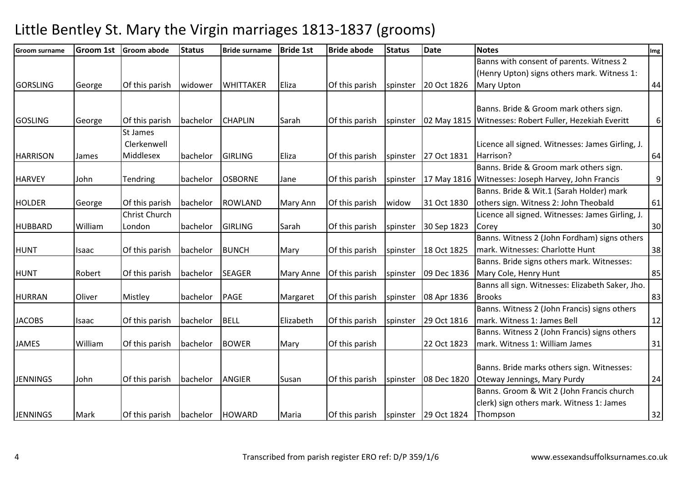| <b>Groom surname</b> | <b>Groom 1st</b> | <b>Groom abode</b> | <b>Status</b>   | <b>Bride surname</b> | <b>Bride 1st</b> | <b>Bride abode</b> | <b>Status</b> | <b>Date</b>          | <b>Notes</b>                                           | Img      |
|----------------------|------------------|--------------------|-----------------|----------------------|------------------|--------------------|---------------|----------------------|--------------------------------------------------------|----------|
|                      |                  |                    |                 |                      |                  |                    |               |                      | Banns with consent of parents. Witness 2               |          |
|                      |                  |                    |                 |                      |                  |                    |               |                      | (Henry Upton) signs others mark. Witness 1:            |          |
| <b>GORSLING</b>      | George           | Of this parish     | widower         | <b>WHITTAKER</b>     | Eliza            | Of this parish     | spinster      | 20 Oct 1826          | <b>Mary Upton</b>                                      | 44       |
|                      |                  |                    |                 |                      |                  |                    |               |                      |                                                        |          |
|                      |                  |                    |                 |                      |                  |                    |               |                      | Banns. Bride & Groom mark others sign.                 |          |
| <b>GOSLING</b>       | George           | Of this parish     | bachelor        | <b>CHAPLIN</b>       | Sarah            | Of this parish     | spinster      |                      | 02 May 1815 Witnesses: Robert Fuller, Hezekiah Everitt | $6 \mid$ |
|                      |                  | St James           |                 |                      |                  |                    |               |                      |                                                        |          |
|                      |                  | Clerkenwell        |                 |                      |                  |                    |               |                      | Licence all signed. Witnesses: James Girling, J.       |          |
| <b>HARRISON</b>      | James            | Middlesex          | bachelor        | <b>GIRLING</b>       | Eliza            | Of this parish     | spinster      | 27 Oct 1831          | Harrison?                                              | 64       |
|                      |                  |                    |                 |                      |                  |                    |               |                      | Banns. Bride & Groom mark others sign.                 |          |
| <b>HARVEY</b>        | John             | Tendring           | bachelor        | <b>OSBORNE</b>       | Jane             | Of this parish     | spinster      |                      | 17 May 1816 Witnesses: Joseph Harvey, John Francis     | 9        |
|                      |                  |                    |                 |                      |                  |                    |               |                      | Banns. Bride & Wit.1 (Sarah Holder) mark               |          |
| <b>HOLDER</b>        | George           | Of this parish     | bachelor        | ROWLAND              | <b>Mary Ann</b>  | Of this parish     | widow         | 31 Oct 1830          | others sign. Witness 2: John Theobald                  | 61       |
|                      |                  | Christ Church      |                 |                      |                  |                    |               |                      | Licence all signed. Witnesses: James Girling, J.       |          |
| <b>HUBBARD</b>       | William          | London             | bachelor        | <b>GIRLING</b>       | Sarah            | Of this parish     | spinster      | 30 Sep 1823          | Corey                                                  | 30       |
|                      |                  |                    |                 |                      |                  |                    |               |                      | Banns. Witness 2 (John Fordham) signs others           |          |
| <b>HUNT</b>          | Isaac            | Of this parish     | bachelor        | <b>BUNCH</b>         | Mary             | Of this parish     | spinster      | 18 Oct 1825          | mark. Witnesses: Charlotte Hunt                        | 38       |
|                      |                  |                    |                 |                      |                  |                    |               |                      | Banns. Bride signs others mark. Witnesses:             |          |
| <b>HUNT</b>          | Robert           | Of this parish     | bachelor        | <b>SEAGER</b>        | Mary Anne        | Of this parish     | spinster      | 09 Dec 1836          | Mary Cole, Henry Hunt                                  | 85       |
|                      |                  |                    |                 |                      |                  |                    |               |                      | Banns all sign. Witnesses: Elizabeth Saker, Jho.       |          |
| <b>HURRAN</b>        | Oliver           | Mistley            | bachelor        | <b>PAGE</b>          | Margaret         | Of this parish     | spinster      | 08 Apr 1836          | <b>Brooks</b>                                          | 83       |
|                      |                  |                    |                 |                      |                  |                    |               |                      | Banns. Witness 2 (John Francis) signs others           |          |
| <b>JACOBS</b>        | Isaac            | Of this parish     | bachelor        | <b>BELL</b>          | Elizabeth        | Of this parish     | spinster      | 29 Oct 1816          | mark. Witness 1: James Bell                            | 12       |
|                      |                  |                    |                 |                      |                  |                    |               |                      | Banns. Witness 2 (John Francis) signs others           |          |
| <b>JAMES</b>         | William          | Of this parish     | bachelor        | <b>BOWER</b>         | Mary             | Of this parish     |               | 22 Oct 1823          | mark. Witness 1: William James                         | 31       |
|                      |                  |                    |                 |                      |                  |                    |               |                      |                                                        |          |
|                      |                  |                    |                 |                      |                  |                    |               |                      | Banns. Bride marks others sign. Witnesses:             |          |
| <b>JENNINGS</b>      | John             | Of this parish     | bachelor        | <b>ANGIER</b>        | Susan            | Of this parish     | spinster      | 08 Dec 1820          | Oteway Jennings, Mary Purdy                            | 24       |
|                      |                  |                    |                 |                      |                  |                    |               |                      | Banns. Groom & Wit 2 (John Francis church              |          |
|                      |                  |                    |                 |                      |                  |                    |               |                      | clerk) sign others mark. Witness 1: James              |          |
| <b>JENNINGS</b>      | Mark             | Of this parish     | bachelor HOWARD |                      | Maria            | Of this parish     |               | spinster 29 Oct 1824 | Thompson                                               | 32       |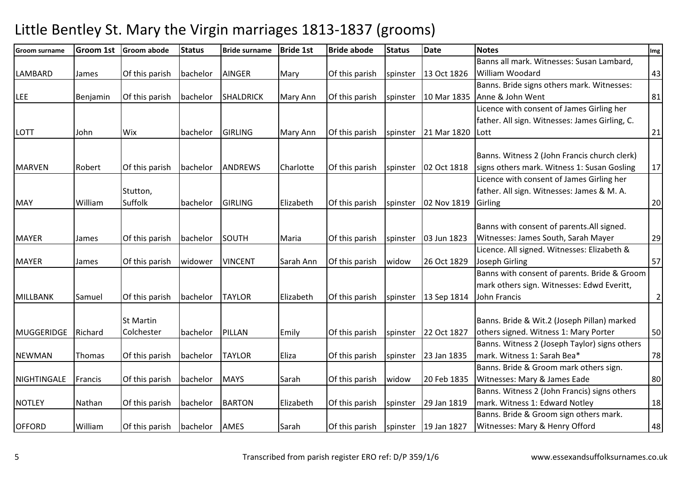|          |                                                  | <b>Status</b>                                                                                                                               | <b>Bride surname</b>                                     | <b>Bride 1st</b>                                                                 | <b>Bride abode</b>                   | <b>Status</b>                                                                          | Date                                                  | <b>Notes</b>                                                                           | Img                                                                                                                                                                                                                                                                                                                                                                                                                                                                                                                                                                        |
|----------|--------------------------------------------------|---------------------------------------------------------------------------------------------------------------------------------------------|----------------------------------------------------------|----------------------------------------------------------------------------------|--------------------------------------|----------------------------------------------------------------------------------------|-------------------------------------------------------|----------------------------------------------------------------------------------------|----------------------------------------------------------------------------------------------------------------------------------------------------------------------------------------------------------------------------------------------------------------------------------------------------------------------------------------------------------------------------------------------------------------------------------------------------------------------------------------------------------------------------------------------------------------------------|
|          |                                                  |                                                                                                                                             |                                                          |                                                                                  |                                      |                                                                                        |                                                       | Banns all mark. Witnesses: Susan Lambard,                                              |                                                                                                                                                                                                                                                                                                                                                                                                                                                                                                                                                                            |
| James    | Of this parish                                   | bachelor                                                                                                                                    | AINGER                                                   | Mary                                                                             | Of this parish                       | spinster                                                                               | 13 Oct 1826                                           | William Woodard                                                                        | 43                                                                                                                                                                                                                                                                                                                                                                                                                                                                                                                                                                         |
|          |                                                  |                                                                                                                                             |                                                          |                                                                                  |                                      |                                                                                        |                                                       | Banns. Bride signs others mark. Witnesses:                                             |                                                                                                                                                                                                                                                                                                                                                                                                                                                                                                                                                                            |
| Benjamin | Of this parish                                   | bachelor                                                                                                                                    | <b>SHALDRICK</b>                                         | Mary Ann                                                                         | Of this parish                       | spinster                                                                               | 10 Mar 1835                                           | Anne & John Went                                                                       | 81                                                                                                                                                                                                                                                                                                                                                                                                                                                                                                                                                                         |
|          |                                                  |                                                                                                                                             |                                                          |                                                                                  |                                      |                                                                                        |                                                       | Licence with consent of James Girling her                                              |                                                                                                                                                                                                                                                                                                                                                                                                                                                                                                                                                                            |
|          |                                                  |                                                                                                                                             |                                                          |                                                                                  |                                      |                                                                                        |                                                       | father. All sign. Witnesses: James Girling, C.                                         |                                                                                                                                                                                                                                                                                                                                                                                                                                                                                                                                                                            |
| John     | Wix                                              | bachelor                                                                                                                                    | <b>GIRLING</b>                                           | Mary Ann                                                                         | Of this parish                       | spinster                                                                               | 21 Mar 1820                                           | Lott                                                                                   | 21                                                                                                                                                                                                                                                                                                                                                                                                                                                                                                                                                                         |
|          |                                                  |                                                                                                                                             |                                                          |                                                                                  |                                      |                                                                                        |                                                       |                                                                                        |                                                                                                                                                                                                                                                                                                                                                                                                                                                                                                                                                                            |
|          |                                                  |                                                                                                                                             |                                                          |                                                                                  |                                      |                                                                                        |                                                       |                                                                                        | 17                                                                                                                                                                                                                                                                                                                                                                                                                                                                                                                                                                         |
|          |                                                  |                                                                                                                                             |                                                          |                                                                                  |                                      |                                                                                        |                                                       |                                                                                        |                                                                                                                                                                                                                                                                                                                                                                                                                                                                                                                                                                            |
|          |                                                  |                                                                                                                                             |                                                          |                                                                                  |                                      |                                                                                        |                                                       |                                                                                        |                                                                                                                                                                                                                                                                                                                                                                                                                                                                                                                                                                            |
| William  | Suffolk                                          | bachelor                                                                                                                                    | <b>GIRLING</b>                                           | Elizabeth                                                                        | Of this parish                       | spinster                                                                               | 02 Nov 1819                                           | Girling                                                                                | 20                                                                                                                                                                                                                                                                                                                                                                                                                                                                                                                                                                         |
|          |                                                  |                                                                                                                                             |                                                          |                                                                                  |                                      |                                                                                        |                                                       |                                                                                        |                                                                                                                                                                                                                                                                                                                                                                                                                                                                                                                                                                            |
|          |                                                  |                                                                                                                                             |                                                          |                                                                                  |                                      |                                                                                        |                                                       | Banns with consent of parents. All signed.                                             |                                                                                                                                                                                                                                                                                                                                                                                                                                                                                                                                                                            |
| James    | Of this parish                                   | bachelor                                                                                                                                    | <b>SOUTH</b>                                             | Maria                                                                            | Of this parish                       | spinster                                                                               | 03 Jun 1823                                           | Witnesses: James South, Sarah Mayer                                                    | 29                                                                                                                                                                                                                                                                                                                                                                                                                                                                                                                                                                         |
|          |                                                  |                                                                                                                                             |                                                          |                                                                                  |                                      |                                                                                        |                                                       | Licence. All signed. Witnesses: Elizabeth &                                            |                                                                                                                                                                                                                                                                                                                                                                                                                                                                                                                                                                            |
| James    | Of this parish                                   | widower                                                                                                                                     | <b>VINCENT</b>                                           | Sarah Ann                                                                        | Of this parish                       | widow                                                                                  | 26 Oct 1829                                           | Joseph Girling                                                                         | 57                                                                                                                                                                                                                                                                                                                                                                                                                                                                                                                                                                         |
|          |                                                  |                                                                                                                                             |                                                          |                                                                                  |                                      |                                                                                        |                                                       |                                                                                        |                                                                                                                                                                                                                                                                                                                                                                                                                                                                                                                                                                            |
|          |                                                  |                                                                                                                                             |                                                          |                                                                                  |                                      |                                                                                        |                                                       | mark others sign. Witnesses: Edwd Everitt,                                             |                                                                                                                                                                                                                                                                                                                                                                                                                                                                                                                                                                            |
| Samuel   | Of this parish                                   | bachelor                                                                                                                                    | <b>TAYLOR</b>                                            | Elizabeth                                                                        | Of this parish                       | spinster                                                                               | 13 Sep 1814                                           | John Francis                                                                           | $\overline{2}$                                                                                                                                                                                                                                                                                                                                                                                                                                                                                                                                                             |
|          |                                                  |                                                                                                                                             |                                                          |                                                                                  |                                      |                                                                                        |                                                       |                                                                                        |                                                                                                                                                                                                                                                                                                                                                                                                                                                                                                                                                                            |
|          |                                                  |                                                                                                                                             |                                                          |                                                                                  |                                      |                                                                                        |                                                       |                                                                                        | 50                                                                                                                                                                                                                                                                                                                                                                                                                                                                                                                                                                         |
|          |                                                  |                                                                                                                                             |                                                          |                                                                                  |                                      |                                                                                        |                                                       |                                                                                        |                                                                                                                                                                                                                                                                                                                                                                                                                                                                                                                                                                            |
|          |                                                  |                                                                                                                                             |                                                          |                                                                                  |                                      |                                                                                        |                                                       |                                                                                        | 78                                                                                                                                                                                                                                                                                                                                                                                                                                                                                                                                                                         |
|          |                                                  |                                                                                                                                             |                                                          |                                                                                  |                                      |                                                                                        |                                                       |                                                                                        |                                                                                                                                                                                                                                                                                                                                                                                                                                                                                                                                                                            |
|          |                                                  |                                                                                                                                             |                                                          |                                                                                  |                                      |                                                                                        |                                                       |                                                                                        | 80                                                                                                                                                                                                                                                                                                                                                                                                                                                                                                                                                                         |
|          |                                                  |                                                                                                                                             |                                                          |                                                                                  |                                      |                                                                                        |                                                       |                                                                                        |                                                                                                                                                                                                                                                                                                                                                                                                                                                                                                                                                                            |
|          |                                                  |                                                                                                                                             |                                                          | Elizabeth                                                                        |                                      |                                                                                        |                                                       |                                                                                        | $18\,$                                                                                                                                                                                                                                                                                                                                                                                                                                                                                                                                                                     |
|          |                                                  |                                                                                                                                             |                                                          |                                                                                  |                                      |                                                                                        |                                                       | Banns. Bride & Groom sign others mark.                                                 |                                                                                                                                                                                                                                                                                                                                                                                                                                                                                                                                                                            |
| William  | Of this parish                                   | bachelor                                                                                                                                    | <b>AMES</b>                                              | Sarah                                                                            | Of this parish                       | spinster                                                                               |                                                       | Witnesses: Mary & Henry Offord                                                         | 48                                                                                                                                                                                                                                                                                                                                                                                                                                                                                                                                                                         |
|          | Robert<br>Richard<br>Thomas<br>Francis<br>Nathan | Groom 1st Groom abode<br>Of this parish<br>Stutton,<br><b>St Martin</b><br>Colchester<br>Of this parish<br>Of this parish<br>Of this parish | bachelor<br>bachelor<br>bachelor<br>bachelor<br>bachelor | <b>ANDREWS</b><br><b>PILLAN</b><br><b>TAYLOR</b><br><b>MAYS</b><br><b>BARTON</b> | Charlotte<br>Emily<br>Eliza<br>Sarah | Of this parish<br>Of this parish<br>Of this parish<br>Of this parish<br>Of this parish | spinster<br>spinster<br>spinster<br>widow<br>spinster | 02 Oct 1818<br>22 Oct 1827<br>23 Jan 1835<br>20 Feb 1835<br>29 Jan 1819<br>19 Jan 1827 | Banns. Witness 2 (John Francis church clerk)<br>signs others mark. Witness 1: Susan Gosling<br>Licence with consent of James Girling her<br>father. All sign. Witnesses: James & M. A.<br>Banns with consent of parents. Bride & Groom<br>Banns. Bride & Wit.2 (Joseph Pillan) marked<br>others signed. Witness 1: Mary Porter<br>Banns. Witness 2 (Joseph Taylor) signs others<br>mark. Witness 1: Sarah Bea*<br>Banns. Bride & Groom mark others sign.<br>Witnesses: Mary & James Eade<br>Banns. Witness 2 (John Francis) signs others<br>mark. Witness 1: Edward Notley |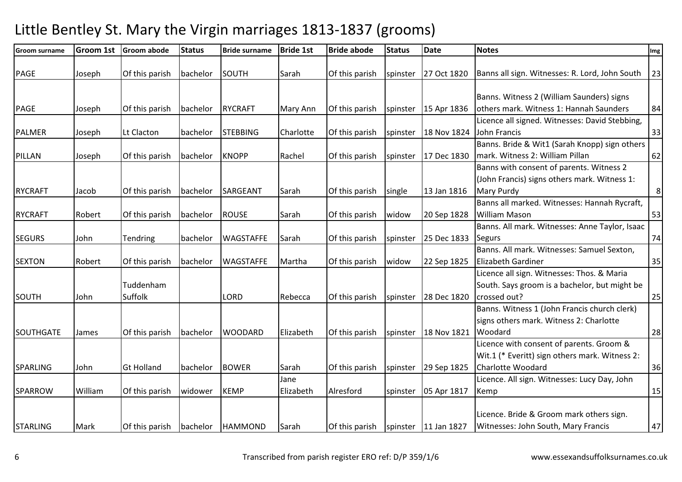| <b>Groom surname</b> | <b>Groom 1st</b> | <b>Groom abode</b>   | <b>Status</b> | <b>Bride surname</b> | <b>Bride 1st</b> | <b>Bride abode</b> | <b>Status</b> | <b>Date</b>          | <b>Notes</b>                                                                                                  | Img     |
|----------------------|------------------|----------------------|---------------|----------------------|------------------|--------------------|---------------|----------------------|---------------------------------------------------------------------------------------------------------------|---------|
| PAGE                 | Joseph           | Of this parish       | bachelor      | SOUTH                | Sarah            | Of this parish     | spinster      | 27 Oct 1820          | Banns all sign. Witnesses: R. Lord, John South                                                                | 23      |
| PAGE                 | Joseph           | Of this parish       | bachelor      | <b>RYCRAFT</b>       | Mary Ann         | Of this parish     | spinster      | 15 Apr 1836          | Banns. Witness 2 (William Saunders) signs<br>others mark. Witness 1: Hannah Saunders                          | 84      |
| PALMER               | Joseph           | Lt Clacton           | bachelor      | <b>STEBBING</b>      | Charlotte        | Of this parish     | spinster      | 18 Nov 1824          | Licence all signed. Witnesses: David Stebbing,<br>John Francis                                                | 33      |
| PILLAN               | Joseph           | Of this parish       | bachelor      | <b>KNOPP</b>         | Rachel           | Of this parish     | spinster      | 17 Dec 1830          | Banns. Bride & Wit1 (Sarah Knopp) sign others<br>mark. Witness 2: William Pillan                              | 62      |
| <b>RYCRAFT</b>       | Jacob            | Of this parish       | bachelor      | <b>SARGEANT</b>      | Sarah            | Of this parish     | single        | 13 Jan 1816          | Banns with consent of parents. Witness 2<br>(John Francis) signs others mark. Witness 1:<br><b>Mary Purdy</b> | $\,8\,$ |
| <b>RYCRAFT</b>       | Robert           | Of this parish       | bachelor      | <b>ROUSE</b>         | Sarah            | Of this parish     | widow         | 20 Sep 1828          | Banns all marked. Witnesses: Hannah Rycraft,<br><b>William Mason</b>                                          | 53      |
| <b>SEGURS</b>        | John             | Tendring             | bachelor      | <b>WAGSTAFFE</b>     | Sarah            | Of this parish     | spinster      | 25 Dec 1833          | Banns. All mark. Witnesses: Anne Taylor, Isaac<br><b>Segurs</b>                                               | 74      |
| <b>SEXTON</b>        | Robert           | Of this parish       | bachelor      | <b>WAGSTAFFE</b>     | Martha           | Of this parish     | widow         | 22 Sep 1825          | Banns. All mark. Witnesses: Samuel Sexton,<br>Elizabeth Gardiner                                              | 35      |
| <b>SOUTH</b>         | John             | Tuddenham<br>Suffolk |               | <b>LORD</b>          | Rebecca          | Of this parish     | spinster      | 28 Dec 1820          | Licence all sign. Witnesses: Thos. & Maria<br>South. Says groom is a bachelor, but might be<br>crossed out?   | 25      |
| SOUTHGATE            | James            | Of this parish       | bachelor      | <b>WOODARD</b>       | Elizabeth        | Of this parish     | spinster      | 18 Nov 1821          | Banns. Witness 1 (John Francis church clerk)<br>signs others mark. Witness 2: Charlotte<br>Woodard            | 28      |
|                      |                  |                      |               |                      |                  |                    |               |                      | Licence with consent of parents. Groom &<br>Wit.1 (* Everitt) sign others mark. Witness 2:                    |         |
| <b>SPARLING</b>      | John             | <b>Gt Holland</b>    | bachelor      | <b>BOWER</b>         | Sarah<br>Jane    | Of this parish     | spinster      | 29 Sep 1825          | <b>Charlotte Woodard</b><br>Licence. All sign. Witnesses: Lucy Day, John                                      | 36      |
| SPARROW              | William          | Of this parish       | widower       | <b>KEMP</b>          | Elizabeth        | Alresford          | spinster      | 05 Apr 1817          | Kemp                                                                                                          | 15      |
| <b>STARLING</b>      | Mark             | Of this parish       | bachelor      | <b>HAMMOND</b>       | Sarah            | Of this parish     |               | spinster 11 Jan 1827 | Licence. Bride & Groom mark others sign.<br>Witnesses: John South, Mary Francis                               | 47      |